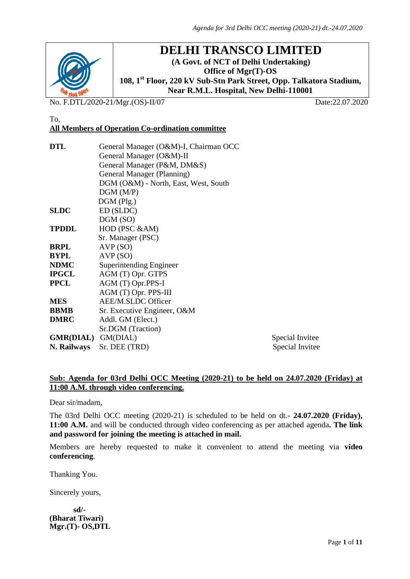

# **DELHI TRANSCO LIMITED**

**(A Govt. of NCT of Delhi Undertaking) Office of Mgr(T)-OS 108, 1st Floor, 220 kV Sub-Stn Park Street, Opp. Talkatora Stadium, Near R.M.L. Hospital, New Delhi-110001**

No. F.DTL/2020-21/Mgr.(OS)-II/07 Date:22.07.2020

#### To, **All Members of Operation Co-ordination committee**

| General Manager (O&M)-I, Chairman OCC |                                                                  |  |  |
|---------------------------------------|------------------------------------------------------------------|--|--|
|                                       |                                                                  |  |  |
| General Manager (P&M, DM&S)           |                                                                  |  |  |
| General Manager (Planning)            |                                                                  |  |  |
|                                       |                                                                  |  |  |
| DGM(M/P)                              |                                                                  |  |  |
| $DGM$ (Plg.)                          |                                                                  |  |  |
| ED (SLDC)                             |                                                                  |  |  |
| DGM (SO)                              |                                                                  |  |  |
| HOD (PSC &AM)                         |                                                                  |  |  |
| Sr. Manager (PSC)                     |                                                                  |  |  |
| AVP(SO)                               |                                                                  |  |  |
| AVP(SO)                               |                                                                  |  |  |
| Superintending Engineer               |                                                                  |  |  |
| AGM (T) Opr. GTPS                     |                                                                  |  |  |
| AGM (T) Opr.PPS-I                     |                                                                  |  |  |
| AGM (T) Opr. PPS-III                  |                                                                  |  |  |
| AEE/M.SLDC Officer                    |                                                                  |  |  |
| Sr. Executive Engineer, O&M           |                                                                  |  |  |
| Addl. GM (Elect.)                     |                                                                  |  |  |
| Sr.DGM (Traction)                     |                                                                  |  |  |
| GMR(DIAL) GM(DIAL)                    | Special Invitee                                                  |  |  |
| Sr. DEE (TRD)                         | Special Invitee                                                  |  |  |
|                                       | General Manager (O&M)-II<br>DGM (O&M) - North, East, West, South |  |  |

#### **Sub: Agenda for 03rd Delhi OCC Meeting (2020-21) to be held on 24.07.2020 (Friday) at 11:00 A.M. through video conferencing.**

Dear sir/madam,

The 03rd Delhi OCC meeting (2020-21) is scheduled to be held on dt.- **24.07.2020 (Friday), 11:00 A.M.** and will be conducted through video conferencing as per attached agenda**. The link and password for joining the meeting is attached in mail.**

Members are hereby requested to make it convenient to attend the meeting via **video conferencing**.

Thanking You.

Sincerely yours,

 **sd/- (Bharat Tiwari) Mgr.(T)- OS,DTL**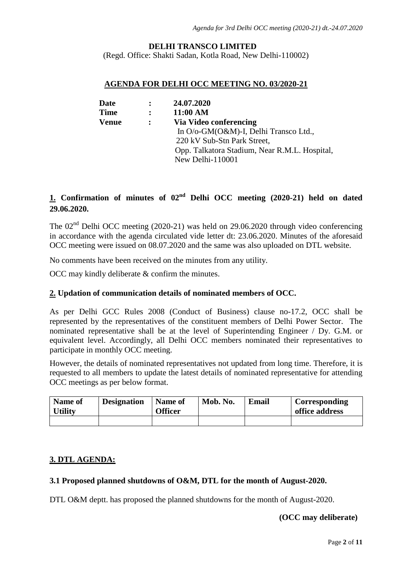#### **DELHI TRANSCO LIMITED**

(Regd. Office: Shakti Sadan, Kotla Road, New Delhi-110002)

#### **AGENDA FOR DELHI OCC MEETING NO. 03/2020-21**

| <b>Date</b> |                | 24.07.2020                                    |
|-------------|----------------|-----------------------------------------------|
| <b>Time</b> | $\ddot{\cdot}$ | 11:00 AM                                      |
| Venue       |                | Via Video conferencing                        |
|             |                | In O/o-GM(O&M)-I, Delhi Transco Ltd.,         |
|             |                | 220 kV Sub-Stn Park Street,                   |
|             |                | Opp. Talkatora Stadium, Near R.M.L. Hospital, |
|             |                | New Delhi-110001                              |

# **1. Confirmation of minutes of 02nd Delhi OCC meeting (2020-21) held on dated 29.06.2020.**

The  $02<sup>nd</sup>$  Delhi OCC meeting (2020-21) was held on 29.06.2020 through video conferencing in accordance with the agenda circulated vide letter dt: 23.06.2020. Minutes of the aforesaid OCC meeting were issued on 08.07.2020 and the same was also uploaded on DTL website.

No comments have been received on the minutes from any utility.

OCC may kindly deliberate & confirm the minutes.

#### **2. Updation of communication details of nominated members of OCC.**

As per Delhi GCC Rules 2008 (Conduct of Business) clause no-17.2, OCC shall be represented by the representatives of the constituent members of Delhi Power Sector. The nominated representative shall be at the level of Superintending Engineer / Dy. G.M. or equivalent level. Accordingly, all Delhi OCC members nominated their representatives to participate in monthly OCC meeting.

However, the details of nominated representatives not updated from long time. Therefore, it is requested to all members to update the latest details of nominated representative for attending OCC meetings as per below format.

| <b>Name of</b><br><b>Utility</b> | <b>Designation</b> | Name of<br><b>Officer</b> | Mob. No. | Email | Corresponding<br>office address |
|----------------------------------|--------------------|---------------------------|----------|-------|---------------------------------|
|                                  |                    |                           |          |       |                                 |

#### **3. DTL AGENDA:**

#### **3.1 Proposed planned shutdowns of O&M, DTL for the month of August-2020.**

DTL O&M deptt. has proposed the planned shutdowns for the month of August-2020.

#### **(OCC may deliberate)**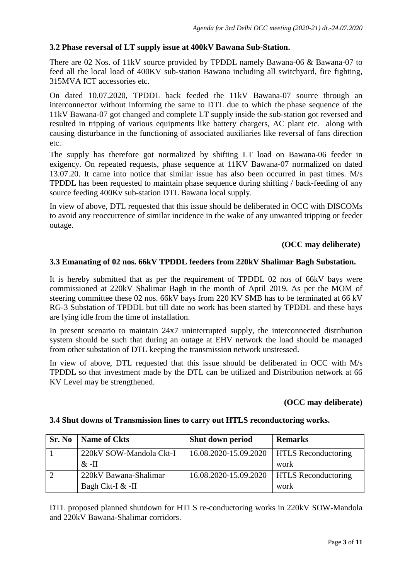# **3.2 Phase reversal of LT supply issue at 400kV Bawana Sub-Station.**

There are 02 Nos. of 11kV source provided by TPDDL namely Bawana-06 & Bawana-07 to feed all the local load of 400KV sub-station Bawana including all switchyard, fire fighting, 315MVA ICT accessories etc.

On dated 10.07.2020, TPDDL back feeded the 11kV Bawana-07 source through an interconnector without informing the same to DTL due to which the phase sequence of the 11kV Bawana-07 got changed and complete LT supply inside the sub-station got reversed and resulted in tripping of various equipments like battery chargers, AC plant etc. along with causing disturbance in the functioning of associated auxiliaries like reversal of fans direction etc.

The supply has therefore got normalized by shifting LT load on Bawana-06 feeder in exigency. On repeated requests, phase sequence at 11KV Bawana-07 normalized on dated 13.07.20. It came into notice that similar issue has also been occurred in past times. M/s TPDDL has been requested to maintain phase sequence during shifting / back-feeding of any source feeding 400Kv sub-station DTL Bawana local supply.

In view of above, DTL requested that this issue should be deliberated in OCC with DISCOMs to avoid any reoccurrence of similar incidence in the wake of any unwanted tripping or feeder outage.

### **(OCC may deliberate)**

# **3.3 Emanating of 02 nos. 66kV TPDDL feeders from 220kV Shalimar Bagh Substation.**

It is hereby submitted that as per the requirement of TPDDL 02 nos of 66kV bays were commissioned at 220kV Shalimar Bagh in the month of April 2019. As per the MOM of steering committee these 02 nos. 66kV bays from 220 KV SMB has to be terminated at 66 kV RG-3 Substation of TPDDL but till date no work has been started by TPDDL and these bays are lying idle from the time of installation.

In present scenario to maintain 24x7 uninterrupted supply, the interconnected distribution system should be such that during an outage at EHV network the load should be managed from other substation of DTL keeping the transmission network unstressed.

In view of above, DTL requested that this issue should be deliberated in OCC with M/s TPDDL so that investment made by the DTL can be utilized and Distribution network at 66 KV Level may be strengthened.

#### **(OCC may deliberate)**

| Sr. No | Name of Ckts            | Shut down period      | <b>Remarks</b>             |
|--------|-------------------------|-----------------------|----------------------------|
|        | 220kV SOW-Mandola Ckt-I | 16.08.2020-15.09.2020 | <b>HTLS</b> Reconductoring |
|        | $\&$ -II                |                       | work                       |
|        | 220kV Bawana-Shalimar   | 16.08.2020-15.09.2020 | <b>HTLS</b> Reconductoring |
|        | Bagh Ckt-I & -II        |                       | work                       |

#### **3.4 Shut downs of Transmission lines to carry out HTLS reconductoring works.**

DTL proposed planned shutdown for HTLS re-conductoring works in 220kV SOW-Mandola and 220kV Bawana-Shalimar corridors.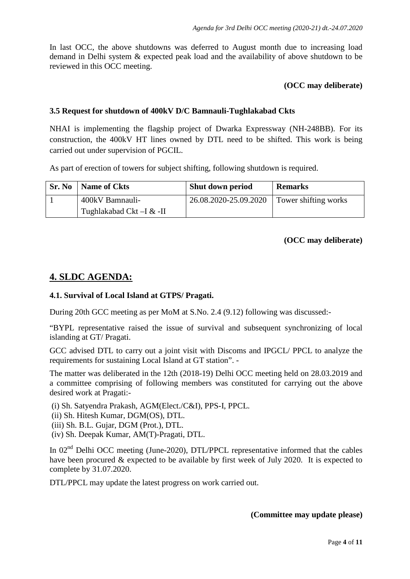In last OCC, the above shutdowns was deferred to August month due to increasing load demand in Delhi system & expected peak load and the availability of above shutdown to be reviewed in this OCC meeting.

# **(OCC may deliberate)**

# **3.5 Request for shutdown of 400kV D/C Bamnauli-Tughlakabad Ckts**

NHAI is implementing the flagship project of Dwarka Expressway (NH-248BB). For its construction, the 400kV HT lines owned by DTL need to be shifted. This work is being carried out under supervision of PGCIL.

As part of erection of towers for subject shifting, following shutdown is required.

| <b>Sr. No</b>   <b>Name of Ckts</b> | <b>Shut down period</b> | <b>Remarks</b>       |
|-------------------------------------|-------------------------|----------------------|
| 400kV Bamnauli-                     | 26.08.2020-25.09.2020   | Tower shifting works |
| Tughlakabad Ckt –I & -II            |                         |                      |

# **(OCC may deliberate)**

# **4. SLDC AGENDA:**

#### **4.1. Survival of Local Island at GTPS/ Pragati.**

During 20th GCC meeting as per MoM at S.No. 2.4 (9.12) following was discussed:-

"BYPL representative raised the issue of survival and subsequent synchronizing of local islanding at GT/ Pragati.

GCC advised DTL to carry out a joint visit with Discoms and IPGCL/ PPCL to analyze the requirements for sustaining Local Island at GT station". -

The matter was deliberated in the 12th (2018-19) Delhi OCC meeting held on 28.03.2019 and a committee comprising of following members was constituted for carrying out the above desired work at Pragati:-

(i) Sh. Satyendra Prakash, AGM(Elect./C&I), PPS-I, PPCL.

(ii) Sh. Hitesh Kumar, DGM(OS), DTL.

(iii) Sh. B.L. Gujar, DGM (Prot.), DTL.

(iv) Sh. Deepak Kumar, AM(T)-Pragati, DTL.

In 02<sup>nd</sup> Delhi OCC meeting (June-2020), DTL/PPCL representative informed that the cables have been procured & expected to be available by first week of July 2020. It is expected to complete by 31.07.2020.

DTL/PPCL may update the latest progress on work carried out.

#### **(Committee may update please)**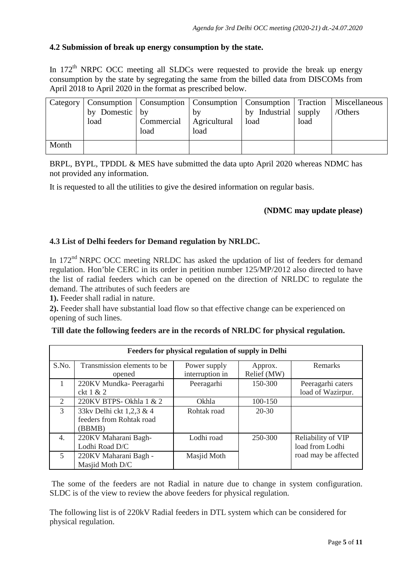# **4.2 Submission of break up energy consumption by the state.**

In 172<sup>th</sup> NRPC OCC meeting all SLDCs were requested to provide the break up energy consumption by the state by segregating the same from the billed data from DISCOMs from April 2018 to April 2020 in the format as prescribed below.

|       | by Domestic by<br>load | Commercial<br>load | by<br>Agricultural<br>load | Category   Consumption   Consumption   Consumption   Consumption   Traction   Miscellaneous<br>by Industrial supply<br>load | load | /Others |
|-------|------------------------|--------------------|----------------------------|-----------------------------------------------------------------------------------------------------------------------------|------|---------|
| Month |                        |                    |                            |                                                                                                                             |      |         |

BRPL, BYPL, TPDDL & MES have submitted the data upto April 2020 whereas NDMC has not provided any information.

It is requested to all the utilities to give the desired information on regular basis.

# **(NDMC may update please)**

# **4.3 List of Delhi feeders for Demand regulation by NRLDC.**

In 172<sup>nd</sup> NRPC OCC meeting NRLDC has asked the updation of list of feeders for demand regulation. Hon'ble CERC in its order in petition number 125/MP/2012 also directed to have the list of radial feeders which can be opened on the direction of NRLDC to regulate the demand. The attributes of such feeders are

**1).** Feeder shall radial in nature.

**2).** Feeder shall have substantial load flow so that effective change can be experienced on opening of such lines.

|                             | Feeders for physical regulation of supply in Delhi |                 |             |                      |  |  |
|-----------------------------|----------------------------------------------------|-----------------|-------------|----------------------|--|--|
| S.No.                       | Transmission elements to be                        | Power supply    | Approx.     | Remarks              |  |  |
|                             | opened                                             | interruption in | Relief (MW) |                      |  |  |
| $\mathbf{1}$                | 220KV Mundka-Peeragarhi                            | Peeragarhi      | 150-300     | Peeragarhi caters    |  |  |
|                             | ckt 1 & 2                                          |                 |             | load of Wazirpur.    |  |  |
| $\mathcal{D}_{\mathcal{L}}$ | 220KV BTPS- Okhla 1 & 2                            | Okhla           | 100-150     |                      |  |  |
| 3                           | 33kv Delhi ckt 1,2,3 & 4                           | Rohtak road     | $20 - 30$   |                      |  |  |
|                             | feeders from Rohtak road                           |                 |             |                      |  |  |
|                             | (BBMB)                                             |                 |             |                      |  |  |
| 4.                          | 220KV Maharani Bagh-                               | Lodhi road      | 250-300     | Reliability of VIP   |  |  |
|                             | Lodhi Road D/C                                     |                 |             | load from Lodhi      |  |  |
| $\overline{5}$              | 220KV Maharani Bagh -                              | Masjid Moth     |             | road may be affected |  |  |
|                             | Masjid Moth D/C                                    |                 |             |                      |  |  |

The some of the feeders are not Radial in nature due to change in system configuration. SLDC is of the view to review the above feeders for physical regulation.

The following list is of 220kV Radial feeders in DTL system which can be considered for physical regulation.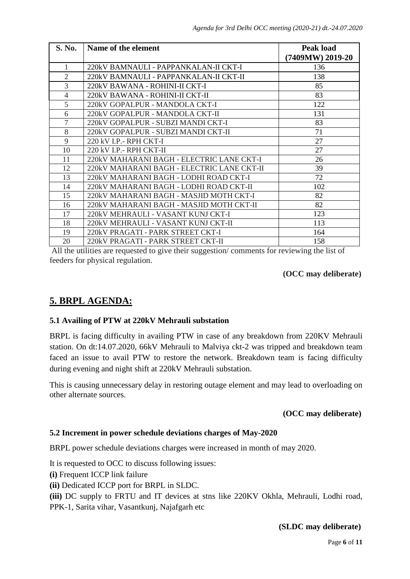| S. No.         | Name of the element                        | <b>Peak load</b><br>(7409MW) 2019-20 |
|----------------|--------------------------------------------|--------------------------------------|
|                | 220kV BAMNAULI - PAPPANKALAN-II CKT-I      | 136                                  |
| $\mathfrak{D}$ | 220kV BAMNAULI - PAPPANKALAN-II CKT-II     | 138                                  |
| 3              | 220kV BAWANA - ROHINI-II CKT-I             | 85                                   |
| $\overline{4}$ | 220kV BAWANA - ROHINI-II CKT-II            | 83                                   |
| 5              | 220kV GOPALPUR - MANDOLA CKT-I             | 122                                  |
| 6              | 220kV GOPALPUR - MANDOLA CKT-II            | 131                                  |
| $\overline{7}$ | 220kV GOPALPUR - SUBZI MANDI CKT-I         | 83                                   |
| 8              | 220kV GOPALPUR - SUBZI MANDI CKT-II        | 71                                   |
| 9              | 220 kV I.P.- RPH CKT-I                     | 27                                   |
| 10             | 220 kV I.P. - RPH CKT-II                   | 27                                   |
| 11             | 220kV MAHARANI BAGH - ELECTRIC LANE CKT-I  | 26                                   |
| 12             | 220kV MAHARANI BAGH - ELECTRIC LANE CKT-II | 39                                   |
| 13             | 220kV MAHARANI BAGH - LODHI ROAD CKT-I     | 72                                   |
| 14             | 220kV MAHARANI BAGH - LODHI ROAD CKT-II    | 102                                  |
| 15             | 220kV MAHARANI BAGH - MASJID MOTH CKT-I    | 82                                   |
| 16             | 220kV MAHARANI BAGH - MASJID MOTH CKT-II   | 82                                   |
| 17             | 220kV MEHRAULI - VASANT KUNJ CKT-I         | 123                                  |
| 18             | 220kV MEHRAULI - VASANT KUNJ CKT-II        | 113                                  |
| 19             | 220kV PRAGATI - PARK STREET CKT-I          | 164                                  |
| 20             | 220kV PRAGATI - PARK STREET CKT-II         | 158                                  |

All the utilities are requested to give their suggestion/ comments for reviewing the list of feeders for physical regulation.

#### **(OCC may deliberate)**

# **5. BRPL AGENDA:**

#### **5.1 Availing of PTW at 220kV Mehrauli substation**

BRPL is facing difficulty in availing PTW in case of any breakdown from 220KV Mehrauli station. On dt:14.07.2020, 66kV Mehrauli to Malviya ckt-2 was tripped and breakdown team faced an issue to avail PTW to restore the network. Breakdown team is facing difficulty during evening and night shift at 220kV Mehrauli substation.

This is causing unnecessary delay in restoring outage element and may lead to overloading on other alternate sources.

#### **(OCC may deliberate)**

## **5.2 Increment in power schedule deviations charges of May-2020**

BRPL power schedule deviations charges were increased in month of may 2020.

It is requested to OCC to discuss following issues:

**(i)** Frequent ICCP link failure

**(ii)** Dedicated ICCP port for BRPL in SLDC.

**(iii)** DC supply to FRTU and IT devices at stns like 220KV Okhla, Mehrauli, Lodhi road, PPK-1, Sarita vihar, Vasantkunj, Najafgarh etc

#### **(SLDC may deliberate)**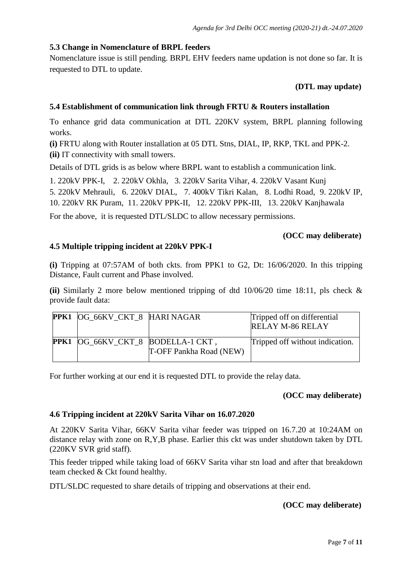#### **5.3 Change in Nomenclature of BRPL feeders**

Nomenclature issue is still pending. BRPL EHV feeders name updation is not done so far. It is requested to DTL to update.

#### **(DTL may update)**

#### **5.4 Establishment of communication link through FRTU & Routers installation**

To enhance grid data communication at DTL 220KV system, BRPL planning following works.

**(i)** FRTU along with Router installation at 05 DTL Stns, DIAL, IP, RKP, TKL and PPK-2. **(ii)** IT connectivity with small towers.

Details of DTL grids is as below where BRPL want to establish a communication link.

1. 220kV PPK-I, 2. 220kV Okhla, 3. 220kV Sarita Vihar, 4. 220kV Vasant Kunj

5. 220kV Mehrauli, 6. 220kV DIAL, 7. 400kV Tikri Kalan, 8. Lodhi Road, 9. 220kV IP, 10. 220kV RK Puram, 11. 220kV PPK-II, 12. 220kV PPK-III, 13. 220kV Kanjhawala

For the above, it is requested DTL/SLDC to allow necessary permissions.

#### **(OCC may deliberate)**

#### **4.5 Multiple tripping incident at 220kV PPK-I**

**(i)** Tripping at 07:57AM of both ckts. from PPK1 to G2, Dt: 16/06/2020. In this tripping Distance, Fault current and Phase involved.

**(ii)** Similarly 2 more below mentioned tripping of dtd 10/06/20 time 18:11, pls check & provide fault data:

| PPK1 OG_66KV_CKT_8 HARI NAGAR     |                         | Tripped off on differential<br><b>RELAY M-86 RELAY</b> |
|-----------------------------------|-------------------------|--------------------------------------------------------|
| PPK1 OG_66KV_CKT_8 BODELLA-1 CKT, | T-OFF Pankha Road (NEW) | Tripped off without indication.                        |

For further working at our end it is requested DTL to provide the relay data.

#### **(OCC may deliberate)**

#### **4.6 Tripping incident at 220kV Sarita Vihar on 16.07.2020**

At 220KV Sarita Vihar, 66KV Sarita vihar feeder was tripped on 16.7.20 at 10:24AM on distance relay with zone on R,Y,B phase. Earlier this ckt was under shutdown taken by DTL (220KV SVR grid staff).

This feeder tripped while taking load of 66KV Sarita vihar stn load and after that breakdown team checked & Ckt found healthy.

DTL/SLDC requested to share details of tripping and observations at their end.

#### **(OCC may deliberate)**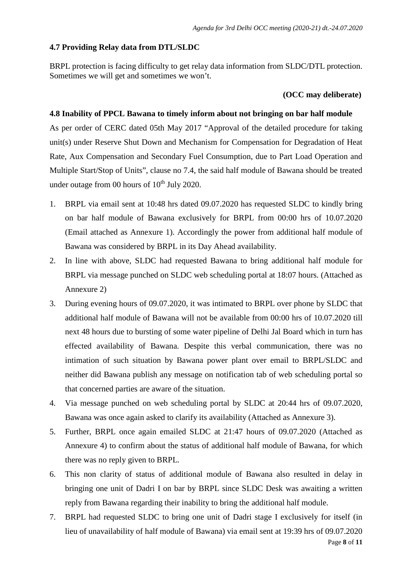#### **4.7 Providing Relay data from DTL/SLDC**

BRPL protection is facing difficulty to get relay data information from SLDC/DTL protection. Sometimes we will get and sometimes we won't.

#### **(OCC may deliberate)**

#### **4.8 Inability of PPCL Bawana to timely inform about not bringing on bar half module**

As per order of CERC dated 05th May 2017 "Approval of the detailed procedure for taking unit(s) under Reserve Shut Down and Mechanism for Compensation for Degradation of Heat Rate, Aux Compensation and Secondary Fuel Consumption, due to Part Load Operation and Multiple Start/Stop of Units", clause no 7.4, the said half module of Bawana should be treated under outage from 00 hours of  $10^{th}$  July 2020.

- 1. BRPL via email sent at 10:48 hrs dated 09.07.2020 has requested SLDC to kindly bring on bar half module of Bawana exclusively for BRPL from 00:00 hrs of 10.07.2020 (Email attached as Annexure 1). Accordingly the power from additional half module of Bawana was considered by BRPL in its Day Ahead availability.
- 2. In line with above, SLDC had requested Bawana to bring additional half module for BRPL via message punched on SLDC web scheduling portal at 18:07 hours. (Attached as Annexure 2)
- 3. During evening hours of 09.07.2020, it was intimated to BRPL over phone by SLDC that additional half module of Bawana will not be available from 00:00 hrs of 10.07.2020 till next 48 hours due to bursting of some water pipeline of Delhi Jal Board which in turn has effected availability of Bawana. Despite this verbal communication, there was no intimation of such situation by Bawana power plant over email to BRPL/SLDC and neither did Bawana publish any message on notification tab of web scheduling portal so that concerned parties are aware of the situation.
- 4. Via message punched on web scheduling portal by SLDC at 20:44 hrs of 09.07.2020, Bawana was once again asked to clarify its availability (Attached as Annexure 3).
- 5. Further, BRPL once again emailed SLDC at 21:47 hours of 09.07.2020 (Attached as Annexure 4) to confirm about the status of additional half module of Bawana, for which there was no reply given to BRPL.
- 6. This non clarity of status of additional module of Bawana also resulted in delay in bringing one unit of Dadri I on bar by BRPL since SLDC Desk was awaiting a written reply from Bawana regarding their inability to bring the additional half module.
- Page **8** of **11** 7. BRPL had requested SLDC to bring one unit of Dadri stage I exclusively for itself (in lieu of unavailability of half module of Bawana) via email sent at 19:39 hrs of 09.07.2020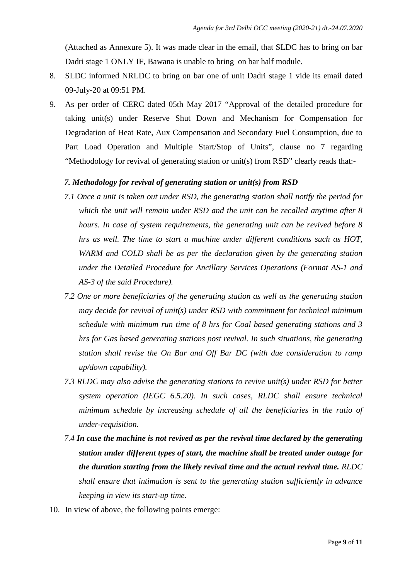(Attached as Annexure 5). It was made clear in the email, that SLDC has to bring on bar Dadri stage 1 ONLY IF, Bawana is unable to bring on bar half module.

- 8. SLDC informed NRLDC to bring on bar one of unit Dadri stage 1 vide its email dated 09-July-20 at 09:51 PM.
- 9. As per order of CERC dated 05th May 2017 "Approval of the detailed procedure for taking unit(s) under Reserve Shut Down and Mechanism for Compensation for Degradation of Heat Rate, Aux Compensation and Secondary Fuel Consumption, due to Part Load Operation and Multiple Start/Stop of Units", clause no 7 regarding "Methodology for revival of generating station or unit(s) from RSD" clearly reads that:-

#### *7. Methodology for revival of generating station or unit(s) from RSD*

- *7.1 Once a unit is taken out under RSD, the generating station shall notify the period for which the unit will remain under RSD and the unit can be recalled anytime after 8 hours. In case of system requirements, the generating unit can be revived before 8 hrs as well. The time to start a machine under different conditions such as HOT, WARM and COLD shall be as per the declaration given by the generating station under the Detailed Procedure for Ancillary Services Operations (Format AS-1 and AS-3 of the said Procedure).*
- *7.2 One or more beneficiaries of the generating station as well as the generating station may decide for revival of unit(s) under RSD with commitment for technical minimum schedule with minimum run time of 8 hrs for Coal based generating stations and 3 hrs for Gas based generating stations post revival. In such situations, the generating station shall revise the On Bar and Off Bar DC (with due consideration to ramp up/down capability).*
- *7.3 RLDC may also advise the generating stations to revive unit(s) under RSD for better system operation (IEGC 6.5.20). In such cases, RLDC shall ensure technical minimum schedule by increasing schedule of all the beneficiaries in the ratio of under-requisition.*
- *7.4 In case the machine is not revived as per the revival time declared by the generating station under different types of start, the machine shall be treated under outage for the duration starting from the likely revival time and the actual revival time. RLDC shall ensure that intimation is sent to the generating station sufficiently in advance keeping in view its start-up time.*
- 10. In view of above, the following points emerge: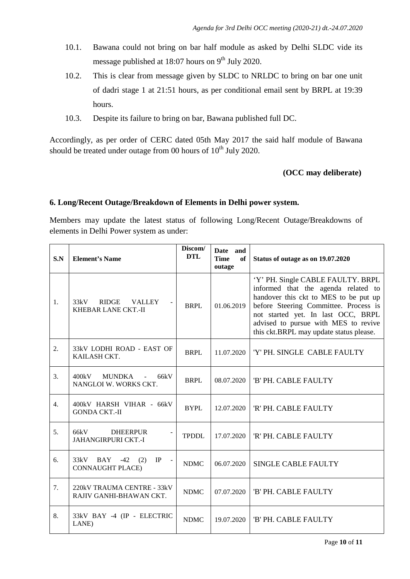- 10.1. Bawana could not bring on bar half module as asked by Delhi SLDC vide its message published at 18:07 hours on 9<sup>th</sup> July 2020.
- 10.2. This is clear from message given by SLDC to NRLDC to bring on bar one unit of dadri stage 1 at 21:51 hours, as per conditional email sent by BRPL at 19:39 hours.
- 10.3. Despite its failure to bring on bar, Bawana published full DC.

Accordingly, as per order of CERC dated 05th May 2017 the said half module of Bawana should be treated under outage from 00 hours of  $10^{th}$  July 2020.

# **(OCC may deliberate)**

# **6. Long/Recent Outage/Breakdown of Elements in Delhi power system.**

Members may update the latest status of following Long/Recent Outage/Breakdowns of elements in Delhi Power system as under:

| S.N              | <b>Element's Name</b>                                        | Discom/<br><b>DTL</b> | Date and<br><b>Time</b><br>of<br>outage | Status of outage as on 19.07.2020                                                                                                                                                                                                                                                   |
|------------------|--------------------------------------------------------------|-----------------------|-----------------------------------------|-------------------------------------------------------------------------------------------------------------------------------------------------------------------------------------------------------------------------------------------------------------------------------------|
| 1.               | 33kV<br><b>RIDGE</b><br><b>VALLEY</b><br>KHEBAR LANE CKT.-II | <b>BRPL</b>           | 01.06.2019                              | 'Y' PH. Single CABLE FAULTY. BRPL<br>informed that the agenda related to<br>handover this ckt to MES to be put up<br>before Steering Committee. Process is<br>not started yet. In last OCC, BRPL<br>advised to pursue with MES to revive<br>this ckt.BRPL may update status please. |
| 2.               | 33kV LODHI ROAD - EAST OF<br>KAILASH CKT.                    | <b>BRPL</b>           | 11.07.2020                              | 'Y' PH. SINGLE CABLE FAULTY                                                                                                                                                                                                                                                         |
| 3.               | 400kV<br><b>MUNDKA</b><br>66kV<br>NANGLOI W. WORKS CKT.      | <b>BRPL</b>           | 08.07.2020                              | 'B' PH. CABLE FAULTY                                                                                                                                                                                                                                                                |
| $\overline{4}$ . | 400kV HARSH VIHAR - 66kV<br><b>GONDA CKT.-II</b>             | <b>BYPL</b>           | 12.07.2020                              | 'R' PH. CABLE FAULTY                                                                                                                                                                                                                                                                |
| 5.               | 66kV<br><b>DHEERPUR</b><br><b>JAHANGIRPURI CKT.-I</b>        | <b>TPDDL</b>          | 17.07.2020                              | 'R' PH. CABLE FAULTY                                                                                                                                                                                                                                                                |
| 6.               | 33kV<br>IP<br>BAY<br>$-42$<br>(2)<br><b>CONNAUGHT PLACE)</b> | <b>NDMC</b>           | 06.07.2020                              | <b>SINGLE CABLE FAULTY</b>                                                                                                                                                                                                                                                          |
| 7.               | 220kV TRAUMA CENTRE - 33kV<br>RAJIV GANHI-BHAWAN CKT.        | <b>NDMC</b>           | 07.07.2020                              | 'B' PH. CABLE FAULTY                                                                                                                                                                                                                                                                |
| 8.               | 33kV BAY -4 (IP - ELECTRIC<br>LANE)                          | <b>NDMC</b>           | 19.07.2020                              | 'B' PH. CABLE FAULTY                                                                                                                                                                                                                                                                |